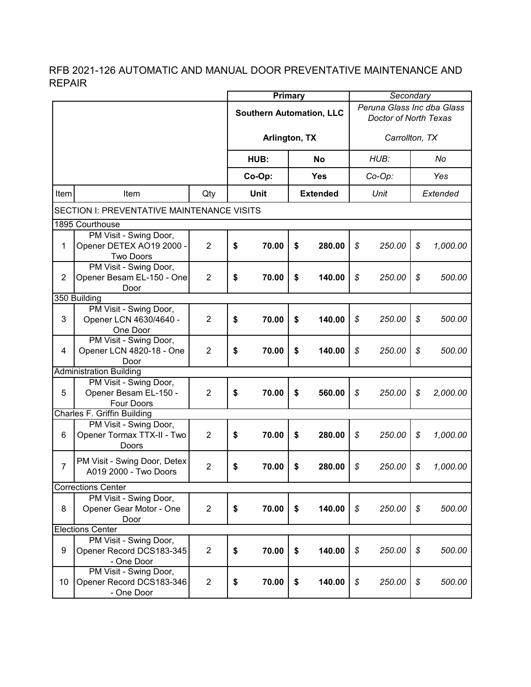|                |                                                                        |                | <b>Primary</b> |                                 |    |                 | Secondary |                                                     |          |          |  |  |
|----------------|------------------------------------------------------------------------|----------------|----------------|---------------------------------|----|-----------------|-----------|-----------------------------------------------------|----------|----------|--|--|
|                |                                                                        |                |                | <b>Southern Automation, LLC</b> |    |                 |           | Peruna Glass Inc dba Glass<br>Doctor of North Texas |          |          |  |  |
|                |                                                                        |                |                | Arlington, TX                   |    |                 |           | Carrollton, TX                                      |          |          |  |  |
|                |                                                                        |                |                | HUB:                            |    | No              |           | HUB:                                                |          | No       |  |  |
|                |                                                                        |                |                | Co-Op:                          |    | <b>Yes</b>      |           | Co-Op:                                              |          | Yes      |  |  |
| <b>Item</b>    | Item                                                                   | Qty            |                | <b>Unit</b>                     |    | <b>Extended</b> |           | Unit                                                | Extended |          |  |  |
|                | SECTION I: PREVENTATIVE MAINTENANCE VISITS                             |                |                |                                 |    |                 |           |                                                     |          |          |  |  |
|                | 1895 Courthouse                                                        |                |                |                                 |    |                 |           |                                                     |          |          |  |  |
| 1              | PM Visit - Swing Door,<br>Opener DETEX AO19 2000 -<br><b>Two Doors</b> | $\overline{2}$ | \$             | 70.00                           | \$ | 280.00          | \$        | 250.00                                              | \$       | 1,000.00 |  |  |
| $\overline{2}$ | PM Visit - Swing Door,<br>Opener Besam EL-150 - One<br>Door            | $\overline{2}$ | \$             | 70.00                           | \$ | 140.00          | \$        | 250.00                                              | \$       | 500.00   |  |  |
|                | 350 Building                                                           |                |                |                                 |    |                 |           |                                                     |          |          |  |  |
| 3              | PM Visit - Swing Door,<br>Opener LCN 4630/4640 -<br>One Door           | $\overline{2}$ | \$             | 70.00                           | \$ | 140.00          | \$        | 250.00                                              | \$       | 500.00   |  |  |
| 4              | PM Visit - Swing Door,<br>Opener LCN 4820-18 - One<br>Door             | $\overline{2}$ | \$             | 70.00                           | \$ | 140.00          | \$        | 250.00                                              | \$       | 500.00   |  |  |
|                | <b>Administration Building</b>                                         |                |                |                                 |    |                 |           |                                                     |          |          |  |  |
| 5              | PM Visit - Swing Door,<br>Opener Besam EL-150 -<br><b>Four Doors</b>   | $\overline{c}$ | \$             | 70.00                           | \$ | 560.00          | \$        | 250.00                                              | \$       | 2,000.00 |  |  |
|                | <b>Charles F. Griffin Building</b>                                     |                |                |                                 |    |                 |           |                                                     |          |          |  |  |
| 6              | PM Visit - Swing Door,<br>Opener Tormax TTX-II - Two<br>Doors          | 2              | \$             | 70.00                           | \$ | 280.00          | \$        | 250.00                                              | \$       | 1,000.00 |  |  |
| $\overline{7}$ | PM Visit - Swing Door, Detex<br>A019 2000 - Two Doors                  | $\overline{2}$ | \$             | 70.00                           | \$ | 280.00          | \$        | 250.00                                              | \$       | 1,000.00 |  |  |
|                | Corrections Center                                                     |                |                |                                 |    |                 |           |                                                     |          |          |  |  |
| 8              | PM Visit - Swing Door,<br>Opener Gear Motor - One<br>Door              | $\overline{2}$ | \$             | 70.00                           | \$ | 140.00          | \$        | 250.00                                              | \$       | 500.00   |  |  |
|                | <b>Elections Center</b>                                                |                |                |                                 |    |                 |           |                                                     |          |          |  |  |
| 9              | PM Visit - Swing Door,<br>Opener Record DCS183-345<br>- One Door       | $\overline{2}$ | \$             | 70.00                           | \$ | 140.00          | \$        | 250.00                                              | \$       | 500.00   |  |  |
| 10             | PM Visit - Swing Door,<br>Opener Record DCS183-346<br>- One Door       | $\overline{c}$ | \$             | 70.00                           | \$ | 140.00          | \$        | 250.00                                              | \$       | 500.00   |  |  |
|                |                                                                        |                |                |                                 |    |                 |           |                                                     |          |          |  |  |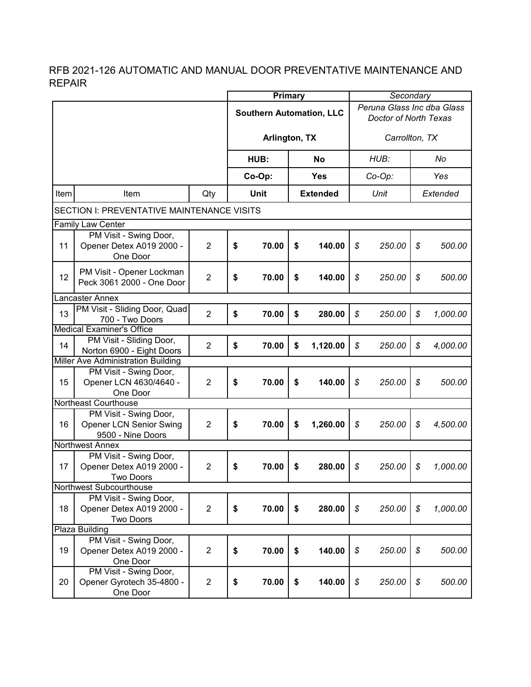|                                                                               |                                                                                                                                                                                                                                                                                |               | <b>Primary</b> |                |                                                     |                                                    | Secondary |               |          |  |  |
|-------------------------------------------------------------------------------|--------------------------------------------------------------------------------------------------------------------------------------------------------------------------------------------------------------------------------------------------------------------------------|---------------|----------------|----------------|-----------------------------------------------------|----------------------------------------------------|-----------|---------------|----------|--|--|
|                                                                               |                                                                                                                                                                                                                                                                                |               |                |                | Peruna Glass Inc dba Glass<br>Doctor of North Texas |                                                    |           |               |          |  |  |
|                                                                               |                                                                                                                                                                                                                                                                                | Arlington, TX |                |                |                                                     | Carrollton, TX                                     |           |               |          |  |  |
|                                                                               |                                                                                                                                                                                                                                                                                |               |                |                | No                                                  |                                                    | HUB:      |               | No       |  |  |
|                                                                               |                                                                                                                                                                                                                                                                                |               |                |                | <b>Yes</b>                                          |                                                    | Co-Op:    |               | Yes      |  |  |
| Item<br>Item                                                                  | Qty                                                                                                                                                                                                                                                                            |               | Unit           |                |                                                     |                                                    | Unit      |               | Extended |  |  |
| SECTION I: PREVENTATIVE MAINTENANCE VISITS                                    |                                                                                                                                                                                                                                                                                |               |                |                |                                                     |                                                    |           |               |          |  |  |
|                                                                               |                                                                                                                                                                                                                                                                                |               |                |                |                                                     |                                                    |           |               |          |  |  |
| Opener Detex A019 2000 -<br>One Door                                          | $\overline{2}$                                                                                                                                                                                                                                                                 | \$            | 70.00          | \$             | 140.00                                              | \$                                                 | 250.00    | \$            | 500.00   |  |  |
| PM Visit - Opener Lockman<br>Peck 3061 2000 - One Door                        | $\overline{2}$                                                                                                                                                                                                                                                                 | \$            | 70.00          | \$             | 140.00                                              | \$                                                 | 250.00    | \$            | 500.00   |  |  |
| Lancaster Annex                                                               |                                                                                                                                                                                                                                                                                |               |                |                |                                                     |                                                    |           |               |          |  |  |
| PM Visit - Sliding Door, Quad<br>700 - Two Doors                              | $\overline{2}$                                                                                                                                                                                                                                                                 | \$            | 70.00          | \$             | 280.00                                              | $\boldsymbol{\mathcal{S}}$                         | 250.00    | \$            | 1,000.00 |  |  |
|                                                                               |                                                                                                                                                                                                                                                                                |               |                |                |                                                     |                                                    |           |               |          |  |  |
| Norton 6900 - Eight Doors                                                     | $\overline{2}$                                                                                                                                                                                                                                                                 | \$            | 70.00          | \$             | 1,120.00                                            | $\boldsymbol{\mathcal{S}}$                         | 250.00    | \$            | 4,000.00 |  |  |
| Miller Ave Administration Building                                            |                                                                                                                                                                                                                                                                                |               |                |                |                                                     |                                                    |           |               |          |  |  |
| PM Visit - Swing Door,<br>Opener LCN 4630/4640 -<br>One Door                  | $\overline{2}$                                                                                                                                                                                                                                                                 | \$            | 70.00          | \$             | 140.00                                              | \$                                                 | 250.00    | $\mathcal{L}$ | 500.00   |  |  |
| Northeast Courthouse                                                          |                                                                                                                                                                                                                                                                                |               |                |                |                                                     |                                                    |           |               |          |  |  |
| PM Visit - Swing Door,<br><b>Opener LCN Senior Swing</b><br>9500 - Nine Doors | $\overline{2}$                                                                                                                                                                                                                                                                 | \$            | 70.00          | \$             | 1,260.00                                            | \$                                                 | 250.00    | \$            | 4,500.00 |  |  |
|                                                                               |                                                                                                                                                                                                                                                                                |               |                |                |                                                     |                                                    |           |               |          |  |  |
| Opener Detex A019 2000 -<br><b>Two Doors</b>                                  | $\overline{2}$                                                                                                                                                                                                                                                                 | \$            | 70.00          | \$             | 280.00                                              | \$                                                 | 250.00    | \$            | 1,000.00 |  |  |
|                                                                               |                                                                                                                                                                                                                                                                                |               |                |                |                                                     |                                                    |           |               |          |  |  |
| Opener Detex A019 2000 -<br><b>Two Doors</b>                                  | $\overline{2}$                                                                                                                                                                                                                                                                 | \$            | 70.00          | \$             | 280.00                                              | \$                                                 | 250.00    | \$            | 1,000.00 |  |  |
|                                                                               |                                                                                                                                                                                                                                                                                |               |                |                |                                                     |                                                    |           |               |          |  |  |
| Opener Detex A019 2000 -<br>One Door                                          | $\overline{2}$                                                                                                                                                                                                                                                                 | \$            | 70.00          | \$             | 140.00                                              | \$                                                 | 250.00    | \$            | 500.00   |  |  |
| PM Visit - Swing Door,<br>Opener Gyrotech 35-4800 -<br>One Door               | $\overline{2}$                                                                                                                                                                                                                                                                 | \$            | 70.00          | \$             | 140.00                                              | \$                                                 | 250.00    | \$            | 500.00   |  |  |
|                                                                               | <b>Family Law Center</b><br>PM Visit - Swing Door,<br><b>Medical Examiner's Office</b><br>PM Visit - Sliding Door,<br><b>Northwest Annex</b><br>PM Visit - Swing Door,<br>Northwest Subcourthouse<br>PM Visit - Swing Door,<br><b>Plaza Building</b><br>PM Visit - Swing Door, |               |                | HUB:<br>Co-Op: |                                                     | <b>Southern Automation, LLC</b><br><b>Extended</b> |           |               |          |  |  |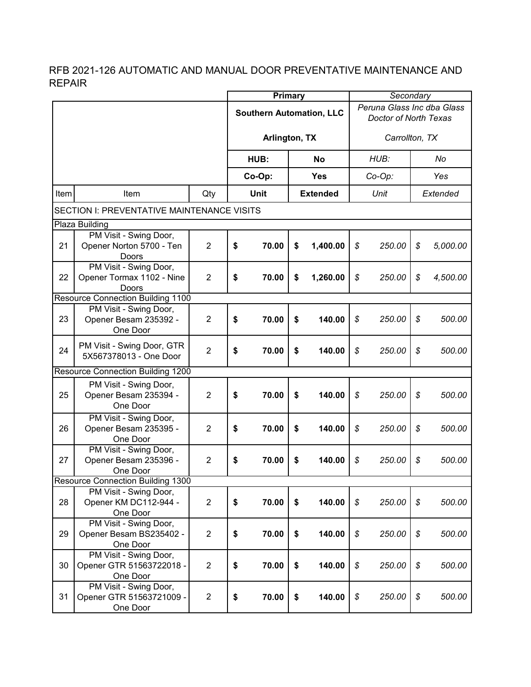|                                            |                                                                |                | <b>Primary</b>                  |               |            |                 |                                                     | Secondary      |    |          |  |  |
|--------------------------------------------|----------------------------------------------------------------|----------------|---------------------------------|---------------|------------|-----------------|-----------------------------------------------------|----------------|----|----------|--|--|
|                                            |                                                                |                | <b>Southern Automation, LLC</b> |               |            |                 | Peruna Glass Inc dba Glass<br>Doctor of North Texas |                |    |          |  |  |
|                                            |                                                                |                |                                 | Arlington, TX |            |                 |                                                     | Carrollton, TX |    |          |  |  |
|                                            |                                                                |                |                                 | HUB:          |            | <b>No</b>       | HUB:                                                |                | No |          |  |  |
|                                            |                                                                |                |                                 | Co-Op:        | <b>Yes</b> |                 | Co-Op:                                              |                |    | Yes      |  |  |
| Item                                       | Item                                                           | Qty            |                                 | <b>Unit</b>   |            | <b>Extended</b> |                                                     | Unit           |    | Extended |  |  |
| SECTION I: PREVENTATIVE MAINTENANCE VISITS |                                                                |                |                                 |               |            |                 |                                                     |                |    |          |  |  |
|                                            | <b>Plaza Building</b>                                          |                |                                 |               |            |                 |                                                     |                |    |          |  |  |
| 21                                         | PM Visit - Swing Door,<br>Opener Norton 5700 - Ten<br>Doors    | $\overline{2}$ | \$                              | 70.00         | \$         | 1,400.00        | \$                                                  | 250.00         | \$ | 5,000.00 |  |  |
| 22                                         | PM Visit - Swing Door,<br>Opener Tormax 1102 - Nine<br>Doors   | $\overline{2}$ | \$                              | 70.00         | \$         | 1,260.00        | \$                                                  | 250.00         | \$ | 4,500.00 |  |  |
|                                            | <b>Resource Connection Building 1100</b>                       |                |                                 |               |            |                 |                                                     |                |    |          |  |  |
| 23                                         | PM Visit - Swing Door,<br>Opener Besam 235392 -<br>One Door    | $\overline{2}$ | \$                              | 70.00         | \$         | 140.00          | \$                                                  | 250.00         | \$ | 500.00   |  |  |
| 24                                         | PM Visit - Swing Door, GTR<br>5X567378013 - One Door           | $\overline{2}$ | \$                              | 70.00         | \$         | 140.00          | \$                                                  | 250.00         | \$ | 500.00   |  |  |
|                                            | Resource Connection Building 1200                              |                |                                 |               |            |                 |                                                     |                |    |          |  |  |
| 25                                         | PM Visit - Swing Door,<br>Opener Besam 235394 -<br>One Door    | $\overline{c}$ | \$                              | 70.00         | \$         | 140.00          | \$                                                  | 250.00         | \$ | 500.00   |  |  |
| 26                                         | PM Visit - Swing Door,<br>Opener Besam 235395 -<br>One Door    | $\overline{2}$ | \$                              | 70.00         | \$         | 140.00          | \$                                                  | 250.00         | \$ | 500.00   |  |  |
| 27                                         | PM Visit - Swing Door,<br>Opener Besam 235396 -<br>One Door    | $\overline{2}$ | \$                              | 70.00         | \$         | 140.00          | \$                                                  | 250.00         | \$ | 500.00   |  |  |
|                                            | <b>Resource Connection Building 1300</b>                       |                |                                 |               |            |                 |                                                     |                |    |          |  |  |
| 28                                         | PM Visit - Swing Door,<br>Opener KM DC112-944 -<br>One Door    | $\overline{2}$ | \$                              | 70.00         | \$         | 140.00          | \$                                                  | 250.00         | \$ | 500.00   |  |  |
| 29                                         | PM Visit - Swing Door,<br>Opener Besam BS235402 -<br>One Door  | $\overline{c}$ | \$                              | 70.00         | \$         | 140.00          | \$                                                  | 250.00         | \$ | 500.00   |  |  |
| 30                                         | PM Visit - Swing Door,<br>Opener GTR 51563722018 -<br>One Door | $\overline{2}$ | \$                              | 70.00         | \$         | 140.00          | \$                                                  | 250.00         | \$ | 500.00   |  |  |
| 31                                         | PM Visit - Swing Door,<br>Opener GTR 51563721009 -<br>One Door | $\overline{c}$ | \$                              | 70.00         | \$         | 140.00          | \$                                                  | 250.00         | \$ | 500.00   |  |  |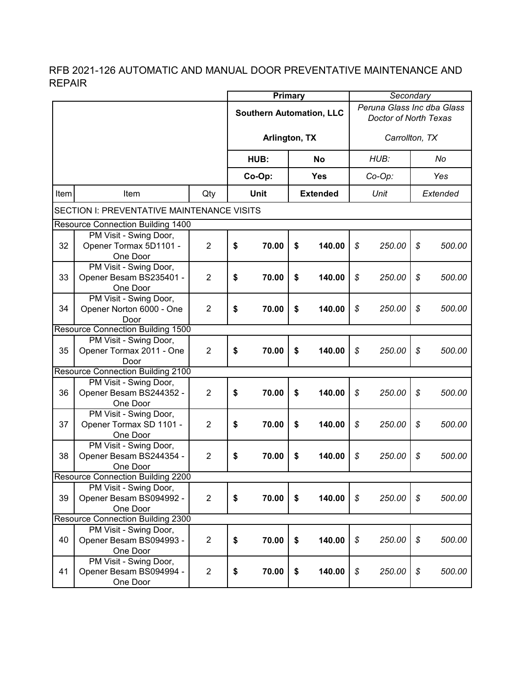|      |                                                               |                | <b>Primary</b>                  |               |            | Secondary       |                            |                                                     |    |          |  |  |
|------|---------------------------------------------------------------|----------------|---------------------------------|---------------|------------|-----------------|----------------------------|-----------------------------------------------------|----|----------|--|--|
|      |                                                               |                | <b>Southern Automation, LLC</b> |               |            |                 |                            | Peruna Glass Inc dba Glass<br>Doctor of North Texas |    |          |  |  |
|      |                                                               |                |                                 | Arlington, TX |            |                 | Carrollton, TX             |                                                     |    |          |  |  |
|      |                                                               |                |                                 | HUB:          | <b>No</b>  |                 | HUB:                       |                                                     | No |          |  |  |
|      |                                                               |                |                                 | Co-Op:        | <b>Yes</b> |                 | Co-Op:                     |                                                     |    | Yes      |  |  |
| Item | Item                                                          | Qty            |                                 | Unit          |            | <b>Extended</b> | Unit                       |                                                     |    | Extended |  |  |
|      | SECTION I: PREVENTATIVE MAINTENANCE VISITS                    |                |                                 |               |            |                 |                            |                                                     |    |          |  |  |
|      | <b>Resource Connection Building 1400</b>                      |                |                                 |               |            |                 |                            |                                                     |    |          |  |  |
| 32   | PM Visit - Swing Door,<br>Opener Tormax 5D1101 -<br>One Door  | $\overline{2}$ | \$                              | 70.00         | \$         | 140.00          | $\boldsymbol{\mathcal{S}}$ | 250.00                                              | \$ | 500.00   |  |  |
| 33   | PM Visit - Swing Door,<br>Opener Besam BS235401 -<br>One Door | $\overline{2}$ | \$                              | 70.00         | \$         | 140.00          | \$                         | 250.00                                              | \$ | 500.00   |  |  |
| 34   | PM Visit - Swing Door,<br>Opener Norton 6000 - One<br>Door    | $\overline{2}$ | \$                              | 70.00         | \$         | 140.00          | \$                         | 250.00                                              | \$ | 500.00   |  |  |
|      | <b>Resource Connection Building 1500</b>                      |                |                                 |               |            |                 |                            |                                                     |    |          |  |  |
| 35   | PM Visit - Swing Door,<br>Opener Tormax 2011 - One<br>Door    | $\overline{2}$ | \$                              | 70.00         | \$         | 140.00          | \$                         | 250.00                                              | \$ | 500.00   |  |  |
|      | <b>Resource Connection Building 2100</b>                      |                |                                 |               |            |                 |                            |                                                     |    |          |  |  |
| 36   | PM Visit - Swing Door,<br>Opener Besam BS244352 -<br>One Door | 2              | \$                              | 70.00         | \$         | 140.00          | \$                         | 250.00                                              | \$ | 500.00   |  |  |
| 37   | PM Visit - Swing Door,<br>Opener Tormax SD 1101 -<br>One Door | 2              | \$                              | 70.00         | \$         | 140.00          | \$                         | 250.00                                              | \$ | 500.00   |  |  |
| 38   | PM Visit - Swing Door,<br>Opener Besam BS244354 -<br>One Door | 2              | \$                              | 70.00         | \$         | 140.00          | \$                         | 250.00                                              | \$ | 500.00   |  |  |
|      | <b>Resource Connection Building 2200</b>                      |                |                                 |               |            |                 |                            |                                                     |    |          |  |  |
| 39   | PM Visit - Swing Door,<br>Opener Besam BS094992 -<br>One Door | $\overline{2}$ | \$                              | 70.00         | \$         | 140.00          | \$                         | 250.00                                              | \$ | 500.00   |  |  |
|      | <b>Resource Connection Building 2300</b>                      |                |                                 |               |            |                 |                            |                                                     |    |          |  |  |
| 40   | PM Visit - Swing Door,<br>Opener Besam BS094993 -<br>One Door | $\overline{2}$ | \$                              | 70.00         | \$         | 140.00          | \$                         | 250.00                                              | \$ | 500.00   |  |  |
| 41   | PM Visit - Swing Door,<br>Opener Besam BS094994 -<br>One Door | $\overline{2}$ | \$                              | 70.00         | \$         | 140.00          | \$                         | 250.00                                              | \$ | 500.00   |  |  |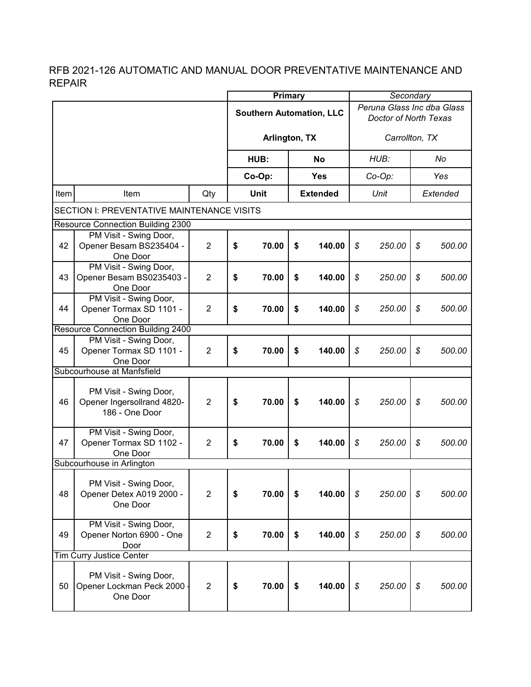|                                            |                                                                        |                | <b>Primary</b>                  |               |               |                 |                                                     | Secondary      |               |          |  |  |
|--------------------------------------------|------------------------------------------------------------------------|----------------|---------------------------------|---------------|---------------|-----------------|-----------------------------------------------------|----------------|---------------|----------|--|--|
|                                            |                                                                        |                | <b>Southern Automation, LLC</b> |               |               |                 | Peruna Glass Inc dba Glass<br>Doctor of North Texas |                |               |          |  |  |
|                                            |                                                                        |                |                                 | Arlington, TX |               |                 |                                                     | Carrollton, TX |               |          |  |  |
|                                            |                                                                        |                |                                 | HUB:          |               | <b>No</b>       | HUB:                                                |                | No            |          |  |  |
|                                            |                                                                        |                |                                 | Co-Op:        |               | <b>Yes</b>      | Co-Op:                                              |                |               | Yes      |  |  |
| Item                                       | Item                                                                   | Qty            |                                 | <b>Unit</b>   |               | <b>Extended</b> |                                                     | Unit           |               | Extended |  |  |
| SECTION I: PREVENTATIVE MAINTENANCE VISITS |                                                                        |                |                                 |               |               |                 |                                                     |                |               |          |  |  |
|                                            | Resource Connection Building 2300                                      |                |                                 |               |               |                 |                                                     |                |               |          |  |  |
| 42                                         | PM Visit - Swing Door,<br>Opener Besam BS235404 -<br>One Door          | $\overline{2}$ | \$                              | 70.00         | \$            | 140.00          | $\boldsymbol{\mathcal{S}}$                          | 250.00         | \$            | 500.00   |  |  |
| 43                                         | PM Visit - Swing Door,<br>Opener Besam BS0235403 -<br>One Door         | $\overline{2}$ | \$                              | 70.00         | \$            | 140.00          | $\boldsymbol{\mathcal{S}}$                          | 250.00         | \$            | 500.00   |  |  |
| 44                                         | PM Visit - Swing Door,<br>Opener Tormax SD 1101 -<br>One Door          | $\overline{2}$ | \$                              | 70.00         | \$            | 140.00          | \$                                                  | 250.00         | \$            | 500.00   |  |  |
|                                            | <b>Resource Connection Building 2400</b>                               |                |                                 |               |               |                 |                                                     |                |               |          |  |  |
| 45                                         | PM Visit - Swing Door,<br>Opener Tormax SD 1101 -<br>One Door          | $\overline{2}$ | \$                              | 70.00         | \$            | 140.00          | $\boldsymbol{\mathcal{S}}$                          | 250.00         | \$            | 500.00   |  |  |
|                                            | Subcourhouse at Manfsfield                                             |                |                                 |               |               |                 |                                                     |                |               |          |  |  |
| 46                                         | PM Visit - Swing Door,<br>Opener Ingersollrand 4820-<br>186 - One Door | $\overline{2}$ | \$                              | 70.00         | $\mathbf{\$}$ | 140.00          | $\boldsymbol{\mathcal{S}}$                          | 250.00         | \$            | 500.00   |  |  |
| 47                                         | PM Visit - Swing Door,<br>Opener Tormax SD 1102 -<br>One Door          | $\overline{2}$ | \$                              | 70.00         | \$            | 140.00          | \$                                                  | 250.00         | $\mathcal{L}$ | 500.00   |  |  |
|                                            | Subcourhouse in Arlington                                              |                |                                 |               |               |                 |                                                     |                |               |          |  |  |
| 48                                         | PM Visit - Swing Door,<br>Opener Detex A019 2000 -<br>One Door         | $\overline{c}$ | \$                              | 70.00         | \$            | 140.00          | \$                                                  | 250.00         | \$            | 500.00   |  |  |
| 49                                         | PM Visit - Swing Door,<br>Opener Norton 6900 - One<br>Door             | $\overline{2}$ | \$                              | 70.00         | \$            | 140.00          | \$                                                  | 250.00         | \$            | 500.00   |  |  |
|                                            | Tim Curry Justice Center                                               |                |                                 |               |               |                 |                                                     |                |               |          |  |  |
| 50                                         | PM Visit - Swing Door,<br>Opener Lockman Peck 2000<br>One Door         | $\overline{2}$ | \$                              | 70.00         | \$            | 140.00          | \$                                                  | 250.00         | \$            | 500.00   |  |  |